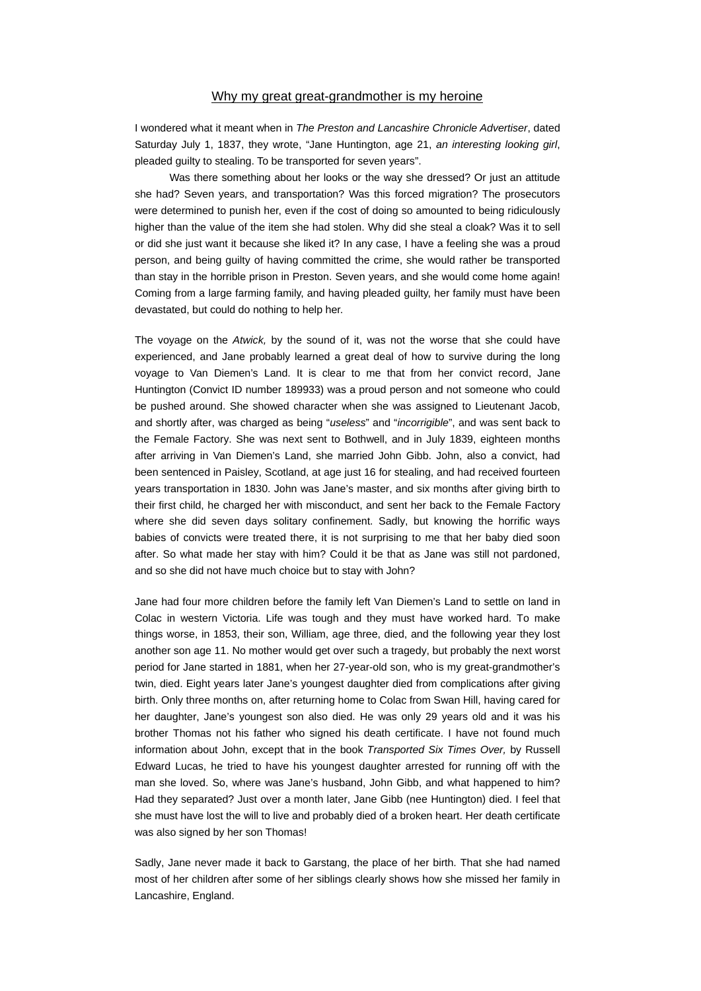## Why my great great-grandmother is my heroine

I wondered what it meant when in *The Preston and Lancashire Chronicle Advertiser*, dated Saturday July 1, 1837, they wrote, "Jane Huntington, age 21, *an interesting looking girl*, pleaded guilty to stealing. To be transported for seven years".

 Was there something about her looks or the way she dressed? Or just an attitude she had? Seven years, and transportation? Was this forced migration? The prosecutors were determined to punish her, even if the cost of doing so amounted to being ridiculously higher than the value of the item she had stolen. Why did she steal a cloak? Was it to sell or did she just want it because she liked it? In any case, I have a feeling she was a proud person, and being guilty of having committed the crime, she would rather be transported than stay in the horrible prison in Preston. Seven years, and she would come home again! Coming from a large farming family, and having pleaded guilty, her family must have been devastated, but could do nothing to help her.

The voyage on the *Atwick,* by the sound of it, was not the worse that she could have experienced, and Jane probably learned a great deal of how to survive during the long voyage to Van Diemen's Land. It is clear to me that from her convict record, Jane Huntington (Convict ID number 189933) was a proud person and not someone who could be pushed around. She showed character when she was assigned to Lieutenant Jacob, and shortly after, was charged as being "*useless*" and "*incorrigible*", and was sent back to the Female Factory. She was next sent to Bothwell, and in July 1839, eighteen months after arriving in Van Diemen's Land, she married John Gibb. John, also a convict, had been sentenced in Paisley, Scotland, at age just 16 for stealing, and had received fourteen years transportation in 1830. John was Jane's master, and six months after giving birth to their first child, he charged her with misconduct, and sent her back to the Female Factory where she did seven days solitary confinement. Sadly, but knowing the horrific ways babies of convicts were treated there, it is not surprising to me that her baby died soon after. So what made her stay with him? Could it be that as Jane was still not pardoned, and so she did not have much choice but to stay with John?

Jane had four more children before the family left Van Diemen's Land to settle on land in Colac in western Victoria. Life was tough and they must have worked hard. To make things worse, in 1853, their son, William, age three, died, and the following year they lost another son age 11. No mother would get over such a tragedy, but probably the next worst period for Jane started in 1881, when her 27-year-old son, who is my great-grandmother's twin, died. Eight years later Jane's youngest daughter died from complications after giving birth. Only three months on, after returning home to Colac from Swan Hill, having cared for her daughter, Jane's youngest son also died. He was only 29 years old and it was his brother Thomas not his father who signed his death certificate. I have not found much information about John, except that in the book *Transported Six Times Over,* by Russell Edward Lucas, he tried to have his youngest daughter arrested for running off with the man she loved. So, where was Jane's husband, John Gibb, and what happened to him? Had they separated? Just over a month later, Jane Gibb (nee Huntington) died. I feel that she must have lost the will to live and probably died of a broken heart. Her death certificate was also signed by her son Thomas!

Sadly, Jane never made it back to Garstang, the place of her birth. That she had named most of her children after some of her siblings clearly shows how she missed her family in Lancashire, England.